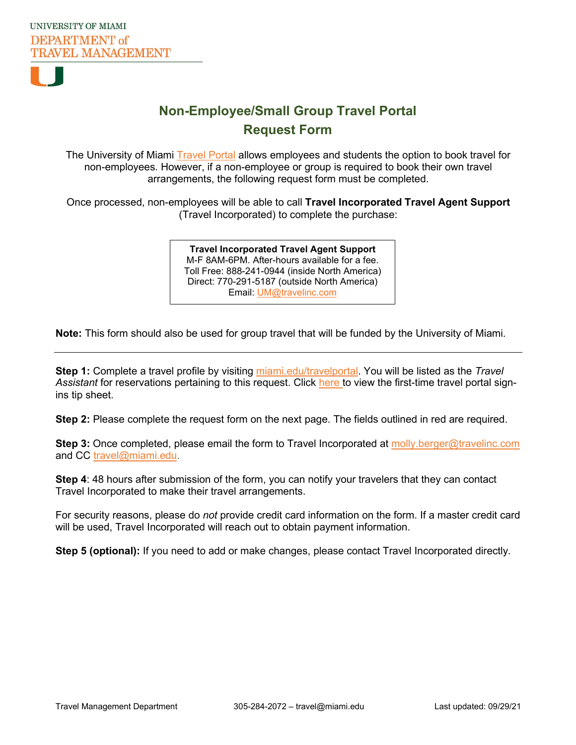

## **Non-Employee/Small Group Travel Portal Request Form**

The University of Miami **Travel Portal** allows employees and students the option to book travel for non-employees. However, if a non-employee or group is required to book their own travel arrangements, the following request form must be completed.

Once processed, non-employees will be able to call **Travel Incorporated Travel Agent Support** (Travel Incorporated) to complete the purchase:

> Toll Free: 888-241-0944 (inside North America) **Travel Incorporated Travel Agent Support** M-F 8AM-6PM. After-hours available for a fee. Direct: 770-291-5187 (outside North America) Email: [UM@travelinc.com](mailto:UM@travelinc.com)

**Note:** This form should also be used for group travel that will be funded by the University of Miami.

**Step 1:** Complete a travel profile by visiting miami.edu/travelportal. You will be listed as the *Travel*  Assistant for reservations pertaining to this request. Click [here](https://my.bf.miami.edu/_assets/pdf/travel-management-mypdfs/travel-portal-tip-sheet-sign-in-for-the-first-time.pdf) to view the first-time travel portal signins tip sheet.

**Step 2:** Please complete the request form on the next page. The fields outlined in red are required.

**Step 3:** Once completed, please email the form to Travel Incorporated at [molly.berger@travelinc.com](mailto:molly.berger@travelinc.com) and CC [travel@miami.edu.](mailto:travel@miami.edu)

**Step 4**: 48 hours after submission of the form, you can notify your travelers that they can contact Travel Incorporated to make their travel arrangements.

For security reasons, please do *not* provide credit card information on the form. If a master credit card will be used, Travel Incorporated will reach out to obtain payment information.

**Step 5 (optional):** If you need to add or make changes, please contact Travel Incorporated directly.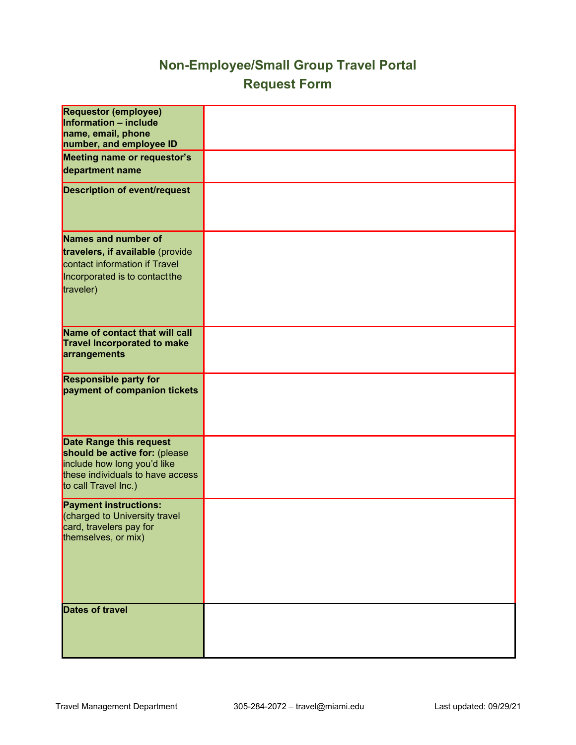## **Non-Employee/Small Group Travel Portal Request Form**

| <b>Requestor (employee)</b><br>Information - include<br>name, email, phone<br>number, and employee ID                                               |  |
|-----------------------------------------------------------------------------------------------------------------------------------------------------|--|
| Meeting name or requestor's<br>department name                                                                                                      |  |
| <b>Description of event/request</b>                                                                                                                 |  |
| Names and number of<br>travelers, if available (provide<br>contact information if Travel<br>Incorporated is to contact the<br>traveler)             |  |
| Name of contact that will call<br><b>Travel Incorporated to make</b><br>arrangements                                                                |  |
| <b>Responsible party for</b><br>payment of companion tickets                                                                                        |  |
| Date Range this request<br>should be active for: (please<br>include how long you'd like<br>these individuals to have access<br>to call Travel Inc.) |  |
| <b>Payment instructions:</b><br>(charged to University travel<br>card, travelers pay for<br>themselves, or mix)                                     |  |
| <b>Dates of travel</b>                                                                                                                              |  |